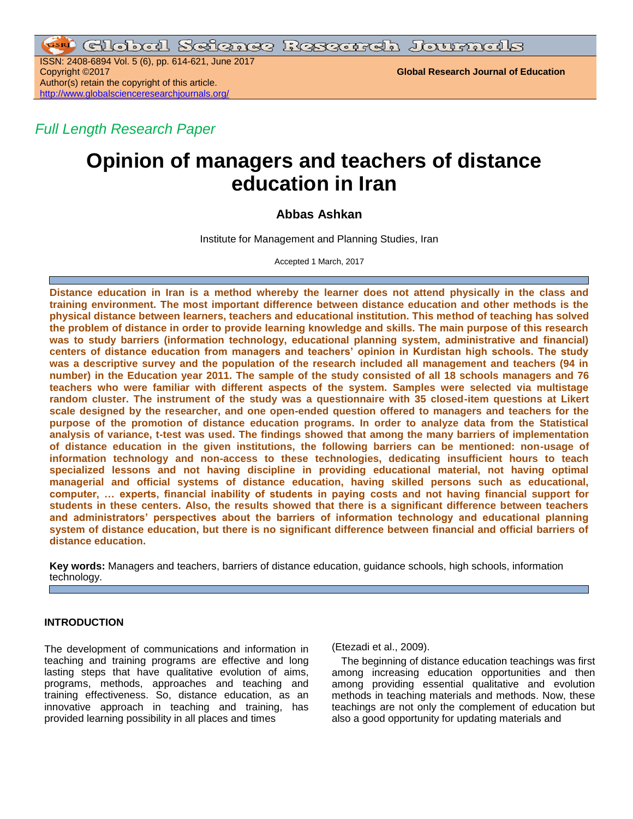ISSN: 2408-6894 Vol. 5 (6), pp. 614-621, June 2017 Copyright ©2017 **Global Research Journal of Education** Author(s) retain the copyright of this article. <http://www.globalscienceresearchjournals.org/>

*Full Length Research Paper*

# **Opinion of managers and teachers of distance education in Iran**

# **Abbas Ashkan**

Institute for Management and Planning Studies, Iran

Accepted 1 March, 2017

**Distance education in Iran is a method whereby the learner does not attend physically in the class and training environment. The most important difference between distance education and other methods is the physical distance between learners, teachers and educational institution. This method of teaching has solved the problem of distance in order to provide learning knowledge and skills. The main purpose of this research**  was to study barriers (information technology, educational planning system, administrative and financial) **centers of distance education from managers and teachers' opinion in Kurdistan high schools. The study was a descriptive survey and the population of the research included all management and teachers (94 in number) in the Education year 2011. The sample of the study consisted of all 18 schools managers and 76 teachers who were familiar with different aspects of the system. Samples were selected via multistage random cluster. The instrument of the study was a questionnaire with 35 closed-item questions at Likert scale designed by the researcher, and one open-ended question offered to managers and teachers for the purpose of the promotion of distance education programs. In order to analyze data from the Statistical analysis of variance, t-test was used. The findings showed that among the many barriers of implementation of distance education in the given institutions, the following barriers can be mentioned: non-usage of information technology and non-access to these technologies, dedicating insufficient hours to teach specialized lessons and not having discipline in providing educational material, not having optimal managerial and official systems of distance education, having skilled persons such as educational, computer, … experts, financial inability of students in paying costs and not having financial support for students in these centers. Also, the results showed that there is a significant difference between teachers and administrators' perspectives about the barriers of information technology and educational planning system of distance education, but there is no significant difference between financial and official barriers of distance education.**

**Key words:** Managers and teachers, barriers of distance education, guidance schools, high schools, information technology.

# **INTRODUCTION**

The development of communications and information in teaching and training programs are effective and long lasting steps that have qualitative evolution of aims, programs, methods, approaches and teaching and training effectiveness. So, distance education, as an innovative approach in teaching and training, has provided learning possibility in all places and times

(Etezadi et al., 2009).

The beginning of distance education teachings was first among increasing education opportunities and then among providing essential qualitative and evolution methods in teaching materials and methods. Now, these teachings are not only the complement of education but also a good opportunity for updating materials and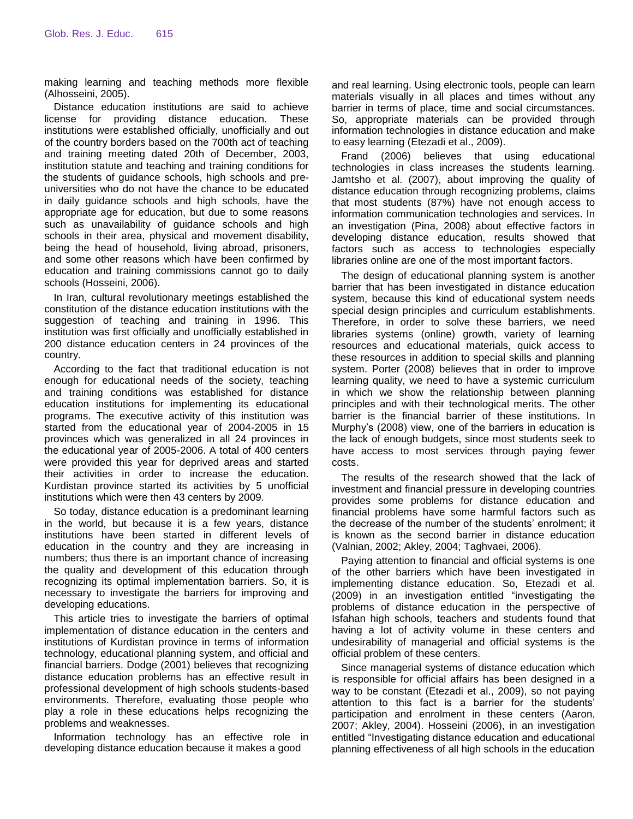making learning and teaching methods more flexible (Alhosseini, 2005).

Distance education institutions are said to achieve license for providing distance education. These institutions were established officially, unofficially and out of the country borders based on the 700th act of teaching and training meeting dated 20th of December, 2003, institution statute and teaching and training conditions for the students of guidance schools, high schools and preuniversities who do not have the chance to be educated in daily guidance schools and high schools, have the appropriate age for education, but due to some reasons such as unavailability of guidance schools and high schools in their area, physical and movement disability, being the head of household, living abroad, prisoners, and some other reasons which have been confirmed by education and training commissions cannot go to daily schools (Hosseini, 2006).

In Iran, cultural revolutionary meetings established the constitution of the distance education institutions with the suggestion of teaching and training in 1996. This institution was first officially and unofficially established in 200 distance education centers in 24 provinces of the country.

According to the fact that traditional education is not enough for educational needs of the society, teaching and training conditions was established for distance education institutions for implementing its educational programs. The executive activity of this institution was started from the educational year of 2004-2005 in 15 provinces which was generalized in all 24 provinces in the educational year of 2005-2006. A total of 400 centers were provided this year for deprived areas and started their activities in order to increase the education. Kurdistan province started its activities by 5 unofficial institutions which were then 43 centers by 2009.

So today, distance education is a predominant learning in the world, but because it is a few years, distance institutions have been started in different levels of education in the country and they are increasing in numbers; thus there is an important chance of increasing the quality and development of this education through recognizing its optimal implementation barriers. So, it is necessary to investigate the barriers for improving and developing educations.

This article tries to investigate the barriers of optimal implementation of distance education in the centers and institutions of Kurdistan province in terms of information technology, educational planning system, and official and financial barriers. Dodge (2001) believes that recognizing distance education problems has an effective result in professional development of high schools students-based environments. Therefore, evaluating those people who play a role in these educations helps recognizing the problems and weaknesses.

Information technology has an effective role in developing distance education because it makes a good

and real learning. Using electronic tools, people can learn materials visually in all places and times without any barrier in terms of place, time and social circumstances. So, appropriate materials can be provided through information technologies in distance education and make to easy learning (Etezadi et al., 2009).

Frand (2006) believes that using educational technologies in class increases the students learning. Jamtsho et al. (2007), about improving the quality of distance education through recognizing problems, claims that most students (87%) have not enough access to information communication technologies and services. In an investigation (Pina, 2008) about effective factors in developing distance education, results showed that factors such as access to technologies especially libraries online are one of the most important factors.

The design of educational planning system is another barrier that has been investigated in distance education system, because this kind of educational system needs special design principles and curriculum establishments. Therefore, in order to solve these barriers, we need libraries systems (online) growth, variety of learning resources and educational materials, quick access to these resources in addition to special skills and planning system. Porter (2008) believes that in order to improve learning quality, we need to have a systemic curriculum in which we show the relationship between planning principles and with their technological merits. The other barrier is the financial barrier of these institutions. In Murphy's (2008) view, one of the barriers in education is the lack of enough budgets, since most students seek to have access to most services through paying fewer costs.

The results of the research showed that the lack of investment and financial pressure in developing countries provides some problems for distance education and financial problems have some harmful factors such as the decrease of the number of the students' enrolment; it is known as the second barrier in distance education (Valnian, 2002; Akley, 2004; Taghvaei, 2006).

Paying attention to financial and official systems is one of the other barriers which have been investigated in implementing distance education. So, Etezadi et al. (2009) in an investigation entitled "investigating the problems of distance education in the perspective of Isfahan high schools, teachers and students found that having a lot of activity volume in these centers and undesirability of managerial and official systems is the official problem of these centers.

Since managerial systems of distance education which is responsible for official affairs has been designed in a way to be constant (Etezadi et al., 2009), so not paying attention to this fact is a barrier for the students' participation and enrolment in these centers (Aaron, 2007; Akley, 2004). Hosseini (2006), in an investigation entitled "Investigating distance education and educational planning effectiveness of all high schools in the education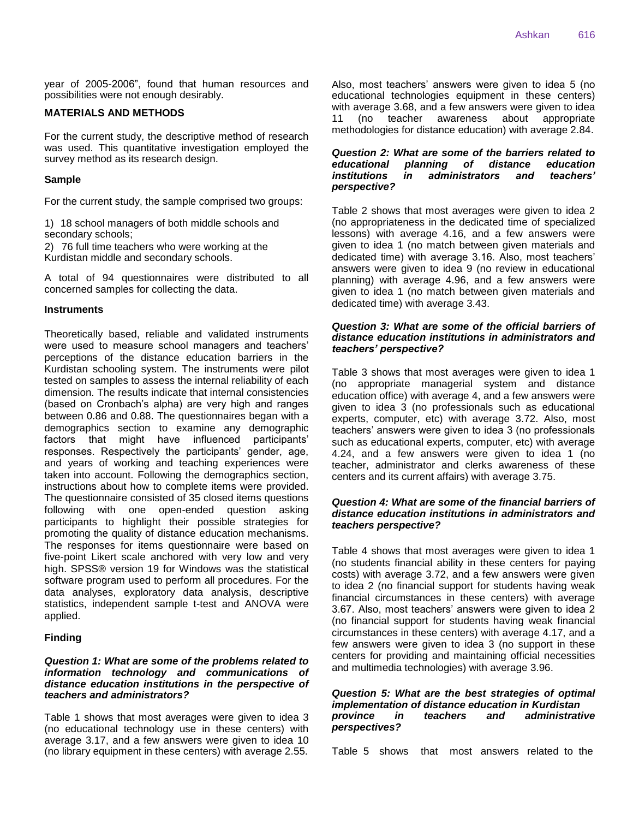year of 2005-2006", found that human resources and possibilities were not enough desirably.

### **MATERIALS AND METHODS**

For the current study, the descriptive method of research was used. This quantitative investigation employed the survey method as its research design.

#### **Sample**

For the current study, the sample comprised two groups:

1) 18 school managers of both middle schools and secondary schools;

2) 76 full time teachers who were working at the Kurdistan middle and secondary schools.

A total of 94 questionnaires were distributed to all concerned samples for collecting the data.

#### **Instruments**

Theoretically based, reliable and validated instruments were used to measure school managers and teachers' perceptions of the distance education barriers in the Kurdistan schooling system. The instruments were pilot tested on samples to assess the internal reliability of each dimension. The results indicate that internal consistencies (based on Cronbach's alpha) are very high and ranges between 0.86 and 0.88. The questionnaires began with a demographics section to examine any demographic factors that might have influenced participants' responses. Respectively the participants' gender, age, and years of working and teaching experiences were taken into account. Following the demographics section, instructions about how to complete items were provided. The questionnaire consisted of 35 closed items questions following with one open-ended question asking participants to highlight their possible strategies for promoting the quality of distance education mechanisms. The responses for items questionnaire were based on five-point Likert scale anchored with very low and very high. SPSS® version 19 for Windows was the statistical software program used to perform all procedures. For the data analyses, exploratory data analysis, descriptive statistics, independent sample t-test and ANOVA were applied.

#### **Finding**

#### *Question 1: What are some of the problems related to information technology and communications of distance education institutions in the perspective of teachers and administrators?*

Table 1 shows that most averages were given to idea 3 (no educational technology use in these centers) with average 3.17, and a few answers were given to idea 10 (no library equipment in these centers) with average 2.55.

Also, most teachers' answers were given to idea 5 (no educational technologies equipment in these centers) with average 3.68, and a few answers were given to idea 11 (no teacher awareness about appropriate methodologies for distance education) with average 2.84.

#### *Question 2: What are some of the barriers related to educational planning of distance education institutions in administrators and perspective?*

Table 2 shows that most averages were given to idea 2 (no appropriateness in the dedicated time of specialized lessons) with average 4.16, and a few answers were given to idea 1 (no match between given materials and dedicated time) with average 3.16. Also, most teachers' answers were given to idea 9 (no review in educational planning) with average 4.96, and a few answers were given to idea 1 (no match between given materials and dedicated time) with average 3.43.

#### *Question 3: What are some of the official barriers of distance education institutions in administrators and teachers' perspective?*

Table 3 shows that most averages were given to idea 1 (no appropriate managerial system and distance education office) with average 4, and a few answers were given to idea 3 (no professionals such as educational experts, computer, etc) with average 3.72. Also, most teachers' answers were given to idea 3 (no professionals such as educational experts, computer, etc) with average 4.24, and a few answers were given to idea 1 (no teacher, administrator and clerks awareness of these centers and its current affairs) with average 3.75.

#### *Question 4: What are some of the financial barriers of distance education institutions in administrators and teachers perspective?*

Table 4 shows that most averages were given to idea 1 (no students financial ability in these centers for paying costs) with average 3.72, and a few answers were given to idea 2 (no financial support for students having weak financial circumstances in these centers) with average 3.67. Also, most teachers' answers were given to idea 2 (no financial support for students having weak financial circumstances in these centers) with average 4.17, and a few answers were given to idea 3 (no support in these centers for providing and maintaining official necessities and multimedia technologies) with average 3.96.

#### *Question 5: What are the best strategies of optimal implementation of distance education in Kurdistan province in teachers and administrative perspectives?*

Table 5 shows that most answers related to the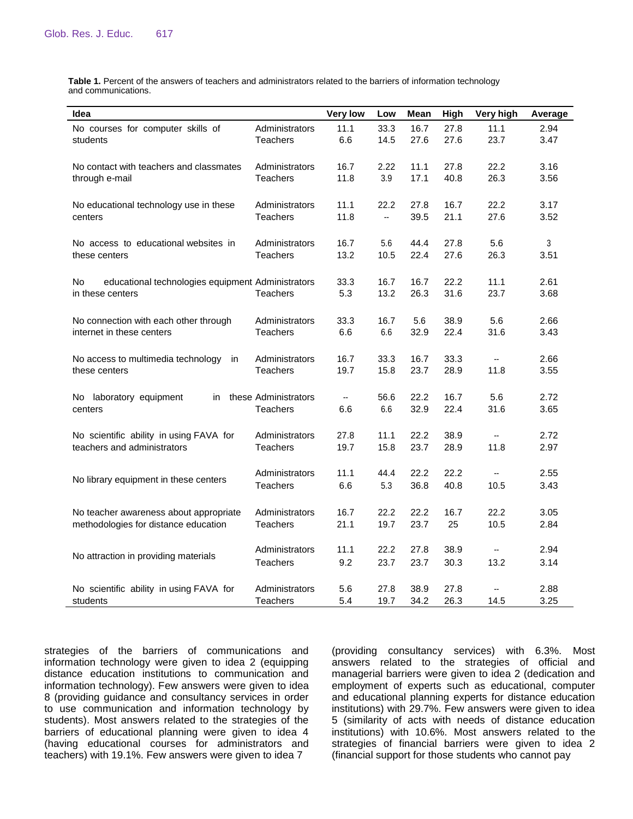**Table 1.** Percent of the answers of teachers and administrators related to the barriers of information technology and communications.

| Idea                                                    |                      | <b>Very low</b> | Low  | Mean | High | Very high | Average |
|---------------------------------------------------------|----------------------|-----------------|------|------|------|-----------|---------|
| No courses for computer skills of                       | Administrators       | 11.1            | 33.3 | 16.7 | 27.8 | 11.1      | 2.94    |
| students                                                | <b>Teachers</b>      | 6.6             | 14.5 | 27.6 | 27.6 | 23.7      | 3.47    |
| No contact with teachers and classmates                 | Administrators       | 16.7            | 2.22 | 11.1 | 27.8 | 22.2      | 3.16    |
| through e-mail                                          | <b>Teachers</b>      | 11.8            | 3.9  | 17.1 | 40.8 | 26.3      | 3.56    |
| No educational technology use in these                  | Administrators       | 11.1            | 22.2 | 27.8 | 16.7 | 22.2      | 3.17    |
| centers                                                 | <b>Teachers</b>      | 11.8            |      | 39.5 | 21.1 | 27.6      | 3.52    |
| No access to educational websites in                    | Administrators       | 16.7            | 5.6  | 44.4 | 27.8 | 5.6       | 3       |
| these centers                                           | <b>Teachers</b>      | 13.2            | 10.5 | 22.4 | 27.6 | 26.3      | 3.51    |
| educational technologies equipment Administrators<br>No |                      | 33.3            | 16.7 | 16.7 | 22.2 | 11.1      | 2.61    |
| in these centers                                        | <b>Teachers</b>      | 5.3             | 13.2 | 26.3 | 31.6 | 23.7      | 3.68    |
| No connection with each other through                   | Administrators       | 33.3            | 16.7 | 5.6  | 38.9 | 5.6       | 2.66    |
| internet in these centers                               | Teachers             | 6.6             | 6.6  | 32.9 | 22.4 | 31.6      | 3.43    |
| No access to multimedia technology<br>in                | Administrators       | 16.7            | 33.3 | 16.7 | 33.3 | ۰.        | 2.66    |
| these centers                                           | Teachers             | 19.7            | 15.8 | 23.7 | 28.9 | 11.8      | 3.55    |
| No laboratory equipment<br>in                           | these Administrators | ۰.              | 56.6 | 22.2 | 16.7 | 5.6       | 2.72    |
| centers                                                 | Teachers             | 6.6             | 6.6  | 32.9 | 22.4 | 31.6      | 3.65    |
| No scientific ability in using FAVA for                 | Administrators       | 27.8            | 11.1 | 22.2 | 38.9 |           | 2.72    |
| teachers and administrators                             | Teachers             | 19.7            | 15.8 | 23.7 | 28.9 | 11.8      | 2.97    |
|                                                         | Administrators       | 11.1            | 44.4 | 22.2 | 22.2 | --        | 2.55    |
| No library equipment in these centers                   | <b>Teachers</b>      | 6.6             | 5.3  | 36.8 | 40.8 | 10.5      | 3.43    |
| No teacher awareness about appropriate                  | Administrators       | 16.7            | 22.2 | 22.2 | 16.7 | 22.2      | 3.05    |
| methodologies for distance education                    | Teachers             | 21.1            | 19.7 | 23.7 | 25   | 10.5      | 2.84    |
|                                                         | Administrators       | 11.1            | 22.2 | 27.8 | 38.9 | ۰.        | 2.94    |
| No attraction in providing materials                    | <b>Teachers</b>      | 9.2             | 23.7 | 23.7 | 30.3 | 13.2      | 3.14    |
| No scientific ability in using FAVA for                 | Administrators       | 5.6             | 27.8 | 38.9 | 27.8 | --        | 2.88    |
| students                                                | Teachers             | 5.4             | 19.7 | 34.2 | 26.3 | 14.5      | 3.25    |

strategies of the barriers of communications and information technology were given to idea 2 (equipping distance education institutions to communication and information technology). Few answers were given to idea 8 (providing guidance and consultancy services in order to use communication and information technology by students). Most answers related to the strategies of the barriers of educational planning were given to idea 4 (having educational courses for administrators and teachers) with 19.1%. Few answers were given to idea 7

(providing consultancy services) with 6.3%. Most answers related to the strategies of official and managerial barriers were given to idea 2 (dedication and employment of experts such as educational, computer and educational planning experts for distance education institutions) with 29.7%. Few answers were given to idea 5 (similarity of acts with needs of distance education institutions) with 10.6%. Most answers related to the strategies of financial barriers were given to idea 2 (financial support for those students who cannot pay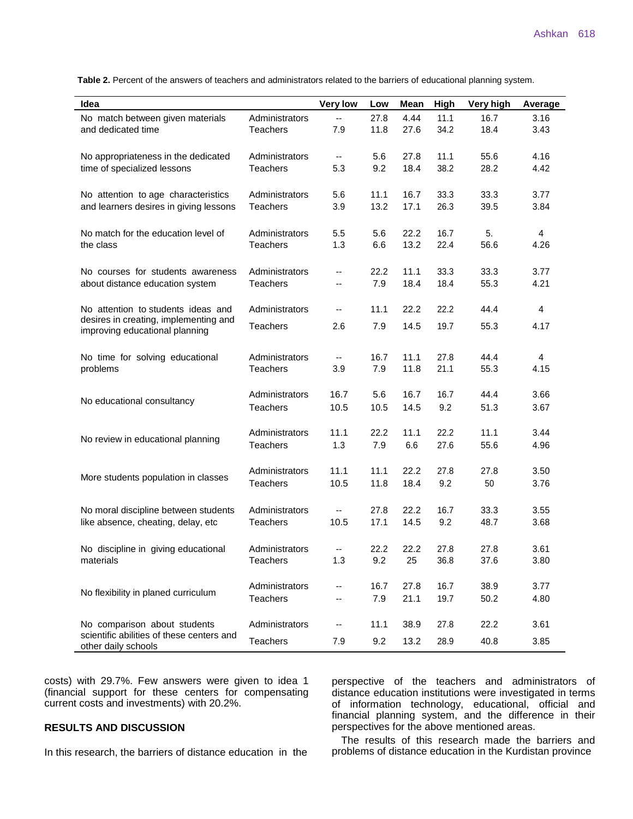**Table 2.** Percent of the answers of teachers and administrators related to the barriers of educational planning system.

| Idea                                                                       |                                   | <b>Very low</b>          | Low          | Mean         | High        | Very high    | Average      |
|----------------------------------------------------------------------------|-----------------------------------|--------------------------|--------------|--------------|-------------|--------------|--------------|
| No match between given materials<br>and dedicated time                     | Administrators                    | $\overline{\phantom{a}}$ | 27.8         | 4.44         | 11.1        | 16.7         | 3.16         |
|                                                                            | <b>Teachers</b>                   | 7.9                      | 11.8         | 27.6         | 34.2        | 18.4         | 3.43         |
|                                                                            |                                   |                          |              |              |             |              |              |
| No appropriateness in the dedicated                                        | Administrators                    | $\overline{\phantom{a}}$ | 5.6          | 27.8         | 11.1        | 55.6         | 4.16         |
| time of specialized lessons                                                | <b>Teachers</b>                   | 5.3                      | 9.2          | 18.4         | 38.2        | 28.2         | 4.42         |
|                                                                            |                                   |                          |              |              |             |              |              |
| No attention to age characteristics                                        | Administrators                    | 5.6                      | 11.1         | 16.7         | 33.3        | 33.3         | 3.77         |
| and learners desires in giving lessons                                     | <b>Teachers</b>                   | 3.9                      | 13.2         | 17.1         | 26.3        | 39.5         | 3.84         |
|                                                                            |                                   |                          |              |              |             |              |              |
| No match for the education level of                                        | Administrators                    | 5.5                      | 5.6          | 22.2         | 16.7        | 5.           | 4            |
| the class                                                                  | <b>Teachers</b>                   | 1.3                      | 6.6          | 13.2         | 22.4        | 56.6         | 4.26         |
|                                                                            |                                   |                          |              |              |             |              |              |
| No courses for students awareness                                          | Administrators                    | ۰.                       | 22.2         | 11.1         | 33.3        | 33.3         | 3.77         |
| about distance education system                                            | <b>Teachers</b>                   | --                       | 7.9          | 18.4         | 18.4        | 55.3         | 4.21         |
| No attention to students ideas and                                         | Administrators                    | --                       | 11.1         | 22.2         | 22.2        | 44.4         | 4            |
| desires in creating, implementing and                                      |                                   |                          |              |              |             |              |              |
| improving educational planning                                             | <b>Teachers</b>                   | 2.6                      | 7.9          | 14.5         | 19.7        | 55.3         | 4.17         |
|                                                                            |                                   |                          |              |              |             |              |              |
| No time for solving educational                                            | Administrators                    | $\overline{\phantom{a}}$ | 16.7         | 11.1         | 27.8        | 44.4         | 4            |
| problems                                                                   | <b>Teachers</b>                   | 3.9                      | 7.9          | 11.8         | 21.1        | 55.3         | 4.15         |
|                                                                            |                                   |                          |              |              |             |              |              |
| No educational consultancy                                                 | Administrators                    | 16.7                     | 5.6          | 16.7         | 16.7        | 44.4         | 3.66         |
|                                                                            | <b>Teachers</b>                   | 10.5                     | 10.5         | 14.5         | 9.2         | 51.3         | 3.67         |
|                                                                            |                                   |                          |              |              |             |              |              |
| No review in educational planning                                          | Administrators                    | 11.1                     | 22.2         | 11.1         | 22.2        | 11.1         | 3.44         |
|                                                                            | <b>Teachers</b>                   | 1.3                      | 7.9          | 6.6          | 27.6        | 55.6         | 4.96         |
|                                                                            |                                   |                          |              |              |             |              |              |
| More students population in classes                                        | Administrators                    | 11.1                     | 11.1         | 22.2         | 27.8        | 27.8         | 3.50         |
|                                                                            | <b>Teachers</b>                   | 10.5                     | 11.8         | 18.4         | 9.2         | 50           | 3.76         |
|                                                                            |                                   |                          |              |              |             |              |              |
| No moral discipline between students<br>like absence, cheating, delay, etc | Administrators<br><b>Teachers</b> | --<br>10.5               | 27.8<br>17.1 | 22.2<br>14.5 | 16.7<br>9.2 | 33.3<br>48.7 | 3.55<br>3.68 |
|                                                                            |                                   |                          |              |              |             |              |              |
| No discipline in giving educational<br>materials                           | Administrators                    | --                       | 22.2         | 22.2         | 27.8        | 27.8         | 3.61         |
|                                                                            | <b>Teachers</b>                   | 1.3                      | 9.2          | 25           | 36.8        | 37.6         | 3.80         |
|                                                                            |                                   |                          |              |              |             |              |              |
| No flexibility in planed curriculum                                        | Administrators                    | --                       | 16.7         | 27.8         | 16.7        | 38.9         | 3.77         |
|                                                                            | <b>Teachers</b>                   | --                       | 7.9          | 21.1         | 19.7        | 50.2         | 4.80         |
|                                                                            |                                   |                          |              |              |             |              |              |
| No comparison about students                                               | Administrators                    | --                       | 11.1         | 38.9         | 27.8        | 22.2         | 3.61         |
| scientific abilities of these centers and                                  | Teachers                          | 7.9                      | 9.2          | 13.2         | 28.9        | 40.8         | 3.85         |
| other daily schools                                                        |                                   |                          |              |              |             |              |              |

costs) with 29.7%. Few answers were given to idea 1 (financial support for these centers for compensating current costs and investments) with 20.2%.

# **RESULTS AND DISCUSSION**

In this research, the barriers of distance education in the

perspective of the teachers and administrators of distance education institutions were investigated in terms of information technology, educational, official and financial planning system, and the difference in their perspectives for the above mentioned areas.

The results of this research made the barriers and problems of distance education in the Kurdistan province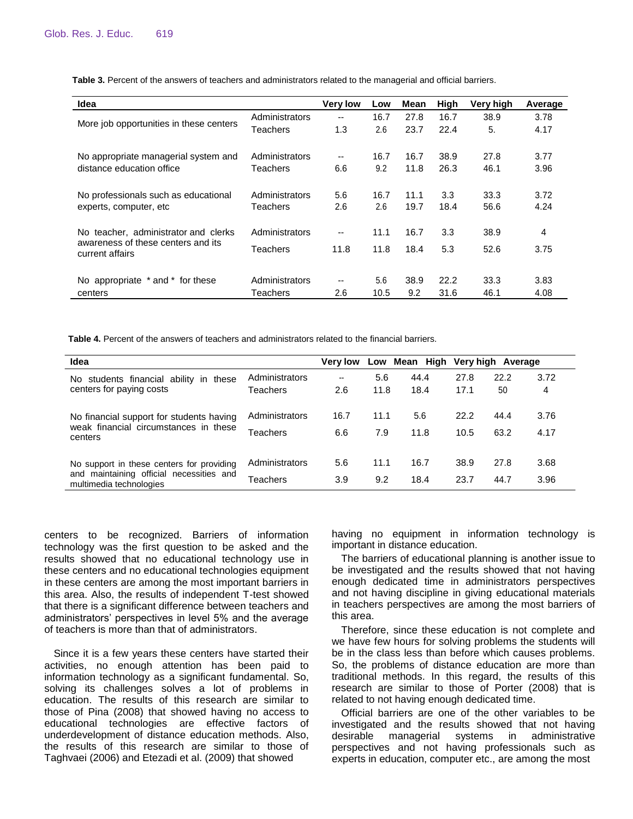| Idea                                                                                          |                | <b>Very low</b> | Low  | Mean | High | Very high | Average |
|-----------------------------------------------------------------------------------------------|----------------|-----------------|------|------|------|-----------|---------|
| More job opportunities in these centers                                                       | Administrators | --              | 16.7 | 27.8 | 16.7 | 38.9      | 3.78    |
|                                                                                               | Teachers       | 1.3             | 2.6  | 23.7 | 22.4 | 5.        | 4.17    |
| No appropriate managerial system and<br>distance education office                             | Administrators | --              | 16.7 | 16.7 | 38.9 | 27.8      | 3.77    |
|                                                                                               | Teachers       | 6.6             | 9.2  | 11.8 | 26.3 | 46.1      | 3.96    |
| No professionals such as educational<br>experts, computer, etc.                               | Administrators | 5.6             | 16.7 | 11.1 | 3.3  | 33.3      | 3.72    |
|                                                                                               | Teachers       | 2.6             | 2.6  | 19.7 | 18.4 | 56.6      | 4.24    |
| No teacher, administrator and clerks<br>awareness of these centers and its<br>current affairs | Administrators | --              | 11.1 | 16.7 | 3.3  | 38.9      | 4       |
|                                                                                               | Teachers       | 11.8            | 11.8 | 18.4 | 5.3  | 52.6      | 3.75    |
|                                                                                               |                |                 |      |      |      |           |         |
| No appropriate * and * for these                                                              | Administrators | --              | 5.6  | 38.9 | 22.2 | 33.3      | 3.83    |
| centers                                                                                       | Teachers       | 2.6             | 10.5 | 9.2  | 31.6 | 46.1      | 4.08    |

**Table 3.** Percent of the answers of teachers and administrators related to the managerial and official barriers.

**Table 4.** Percent of the answers of teachers and administrators related to the financial barriers.

| Idea                                                                                                             |                 | <b>Very low</b> |      |      | Low Mean High Very high Average |      |      |
|------------------------------------------------------------------------------------------------------------------|-----------------|-----------------|------|------|---------------------------------|------|------|
| No students financial ability in these<br>centers for paying costs                                               | Administrators  | --              | 5.6  | 44.4 | 27.8                            | 22.2 | 3.72 |
|                                                                                                                  | Teachers        | 2.6             | 11.8 | 18.4 | 17.1                            | 50   | 4    |
| No financial support for students having<br>weak financial circumstances in these<br>centers                     | Administrators  | 16.7            | 11.1 | 5.6  | 22.2                            | 44.4 | 3.76 |
|                                                                                                                  | Teachers        | 6.6             | 7.9  | 11.8 | 10.5                            | 63.2 | 4.17 |
|                                                                                                                  |                 |                 |      |      |                                 |      |      |
| No support in these centers for providing<br>and maintaining official necessities and<br>multimedia technologies | Administrators  | 5.6             | 11.1 | 16.7 | 38.9                            | 27.8 | 3.68 |
|                                                                                                                  | <b>Teachers</b> | 3.9             | 9.2  | 18.4 | 23.7                            | 44.7 | 3.96 |

centers to be recognized. Barriers of information technology was the first question to be asked and the results showed that no educational technology use in these centers and no educational technologies equipment in these centers are among the most important barriers in this area. Also, the results of independent T-test showed that there is a significant difference between teachers and administrators' perspectives in level 5% and the average of teachers is more than that of administrators.

Since it is a few years these centers have started their activities, no enough attention has been paid to information technology as a significant fundamental. So, solving its challenges solves a lot of problems in education. The results of this research are similar to those of Pina (2008) that showed having no access to educational technologies are effective factors of underdevelopment of distance education methods. Also, the results of this research are similar to those of Taghvaei (2006) and Etezadi et al. (2009) that showed

having no equipment in information technology is important in distance education.

The barriers of educational planning is another issue to be investigated and the results showed that not having enough dedicated time in administrators perspectives and not having discipline in giving educational materials in teachers perspectives are among the most barriers of this area.

Therefore, since these education is not complete and we have few hours for solving problems the students will be in the class less than before which causes problems. So, the problems of distance education are more than traditional methods. In this regard, the results of this research are similar to those of Porter (2008) that is related to not having enough dedicated time.

Official barriers are one of the other variables to be investigated and the results showed that not having desirable managerial systems in administrative perspectives and not having professionals such as experts in education, computer etc., are among the most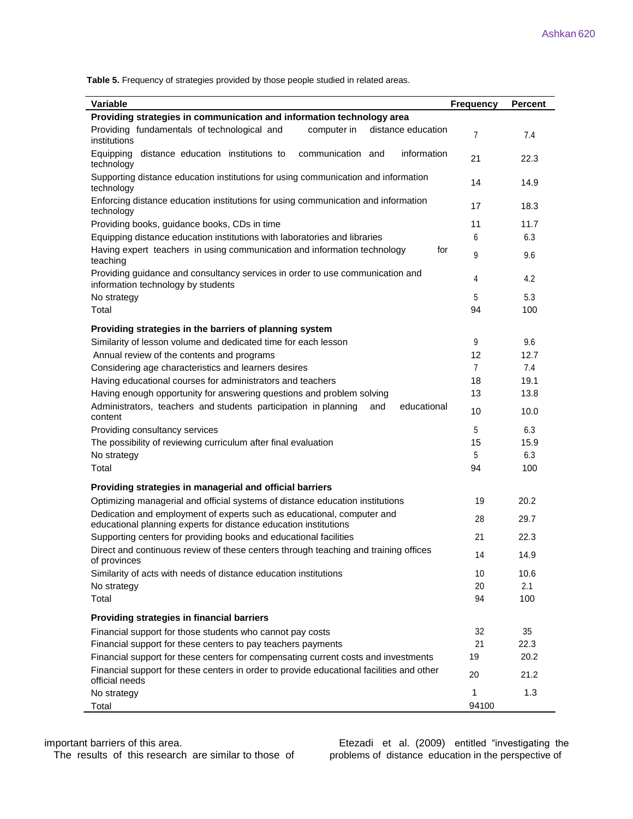**Table 5.** Frequency of strategies provided by those people studied in related areas.

| <b>Variable</b>                                                                                                                            | <b>Frequency</b> | <b>Percent</b> |
|--------------------------------------------------------------------------------------------------------------------------------------------|------------------|----------------|
| Providing strategies in communication and information technology area                                                                      |                  |                |
| Providing fundamentals of technological and<br>distance education<br>computer in<br>institutions                                           | $\overline{7}$   | 7.4            |
| Equipping<br>distance education institutions to<br>communication and<br>information<br>technology                                          | 21               | 22.3           |
| Supporting distance education institutions for using communication and information<br>technology                                           | 14               | 14.9           |
| Enforcing distance education institutions for using communication and information<br>technology                                            | 17               | 18.3           |
| Providing books, guidance books, CDs in time                                                                                               | 11               | 11.7           |
| Equipping distance education institutions with laboratories and libraries                                                                  | 6                | 6.3            |
| Having expert teachers in using communication and information technology<br>for<br>teaching                                                | 9                | 9.6            |
| Providing guidance and consultancy services in order to use communication and<br>information technology by students                        | 4                | 4.2            |
| No strategy                                                                                                                                | 5                | 5.3            |
| Total                                                                                                                                      | 94               | 100            |
|                                                                                                                                            |                  |                |
| Providing strategies in the barriers of planning system                                                                                    |                  |                |
| Similarity of lesson volume and dedicated time for each lesson                                                                             | 9                | 9.6            |
| Annual review of the contents and programs                                                                                                 | 12               | 12.7           |
| Considering age characteristics and learners desires                                                                                       | $\overline{7}$   | 7.4            |
| Having educational courses for administrators and teachers                                                                                 | 18               | 19.1           |
| Having enough opportunity for answering questions and problem solving                                                                      | 13               | 13.8           |
| educational<br>Administrators, teachers and students participation in planning<br>and<br>content                                           | 10               | 10.0           |
| Providing consultancy services                                                                                                             | 5                | 6.3            |
| The possibility of reviewing curriculum after final evaluation                                                                             | 15               | 15.9           |
| No strategy                                                                                                                                | 5                | 6.3            |
| Total                                                                                                                                      | 94               | 100            |
|                                                                                                                                            |                  |                |
| Providing strategies in managerial and official barriers                                                                                   |                  |                |
| Optimizing managerial and official systems of distance education institutions                                                              | 19               | 20.2           |
| Dedication and employment of experts such as educational, computer and<br>educational planning experts for distance education institutions | 28               | 29.7           |
| Supporting centers for providing books and educational facilities                                                                          | 21               | 22.3           |
| Direct and continuous review of these centers through teaching and training offices<br>of provinces                                        | 14               | 14.9           |
| Similarity of acts with needs of distance education institutions                                                                           | 10               | 10.6           |
| No strategy                                                                                                                                | 20               | 2.1            |
| Total                                                                                                                                      | 94               | 100            |
| Providing strategies in financial barriers                                                                                                 |                  |                |
| Financial support for those students who cannot pay costs                                                                                  | 32               | 35             |
| Financial support for these centers to pay teachers payments                                                                               | 21               | 22.3           |
| Financial support for these centers for compensating current costs and investments                                                         | 19               | 20.2           |
|                                                                                                                                            |                  |                |
| Financial support for these centers in order to provide educational facilities and other<br>official needs                                 | 20               | 21.2           |
| No strategy                                                                                                                                | 1                | 1.3            |
| Total                                                                                                                                      | 94100            |                |

The results of this research are similar to those of

important barriers of this area.<br>The results of this research are similar to those of problems of distance education in the perspective of